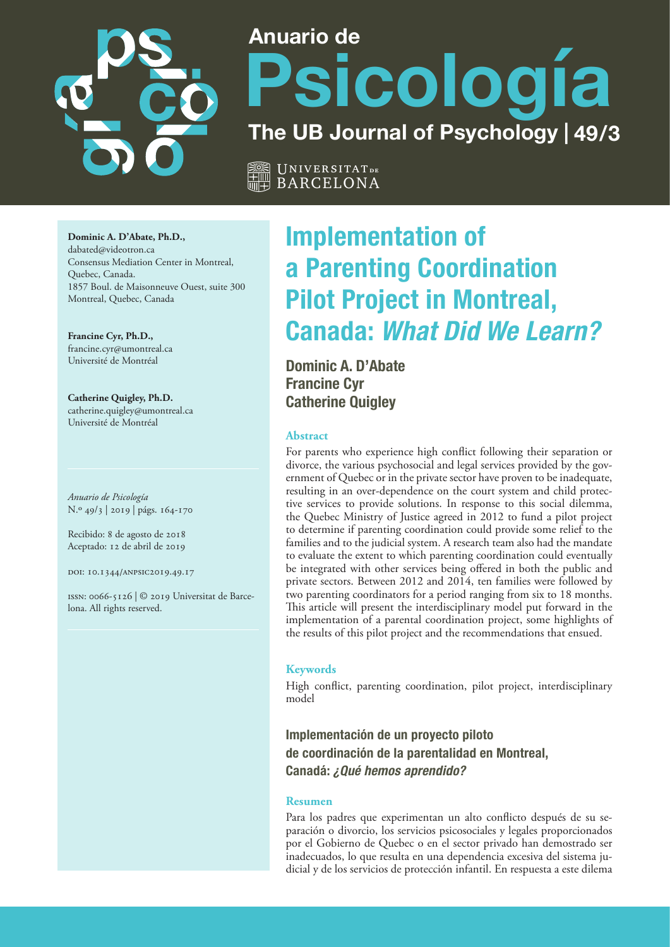

# **Anuario de Psicología The UB Journal of Psychology | 49/3**

Universitat **de** BARCELONA

**Dominic A. D'Abate, Ph.D.,**  dabated@videotron.ca Consensus Mediation Center in Montreal, Quebec, Canada. 1857 Boul. de Maisonneuve Ouest, suite 300 Montreal, Quebec, Canada

**Francine Cyr, Ph.D.,**  francine.cyr@umontreal.ca Université de Montréal

**Catherine Quigley, Ph.D.**  catherine.quigley@umontreal.ca Université de Montréal

*Anuario de Psicología* N.º 49/3 | 2019 | págs. 164-170

Recibido: 8 de agosto de 2018 Aceptado: 12 de abril de 2019

doi: 10.1344/anpsic2019.49.17

issn: 0066-5126 | © 2019 Universitat de Barcelona. All rights reserved.

# **Implementation of a Parenting Coordination Pilot Project in Montreal, Canada: What Did We Learn?**

**Dominic A. D'Abate Francine Cyr Catherine Quigley**

# **Abstract**

For parents who experience high conflict following their separation or divorce, the various psychosocial and legal services provided by the government of Quebec or in the private sector have proven to be inadequate, resulting in an over-dependence on the court system and child protective services to provide solutions. In response to this social dilemma, the Quebec Ministry of Justice agreed in 2012 to fund a pilot project to determine if parenting coordination could provide some relief to the families and to the judicial system. A research team also had the mandate to evaluate the extent to which parenting coordination could eventually be integrated with other services being offered in both the public and private sectors. Between 2012 and 2014, ten families were followed by two parenting coordinators for a period ranging from six to 18 months. This article will present the interdisciplinary model put forward in the implementation of a parental coordination project, some highlights of the results of this pilot project and the recommendations that ensued.

# **Keywords**

High conflict, parenting coordination, pilot project, interdisciplinary model

**Implementación de un proyecto piloto de coordinación de la parentalidad en Montreal, Canadá: ¿Qué hemos aprendido?**

#### **Resumen**

Para los padres que experimentan un alto conflicto después de su separación o divorcio, los servicios psicosociales y legales proporcionados por el Gobierno de Quebec o en el sector privado han demostrado ser inadecuados, lo que resulta en una dependencia excesiva del sistema judicial y de los servicios de protección infantil. En respuesta a este dilema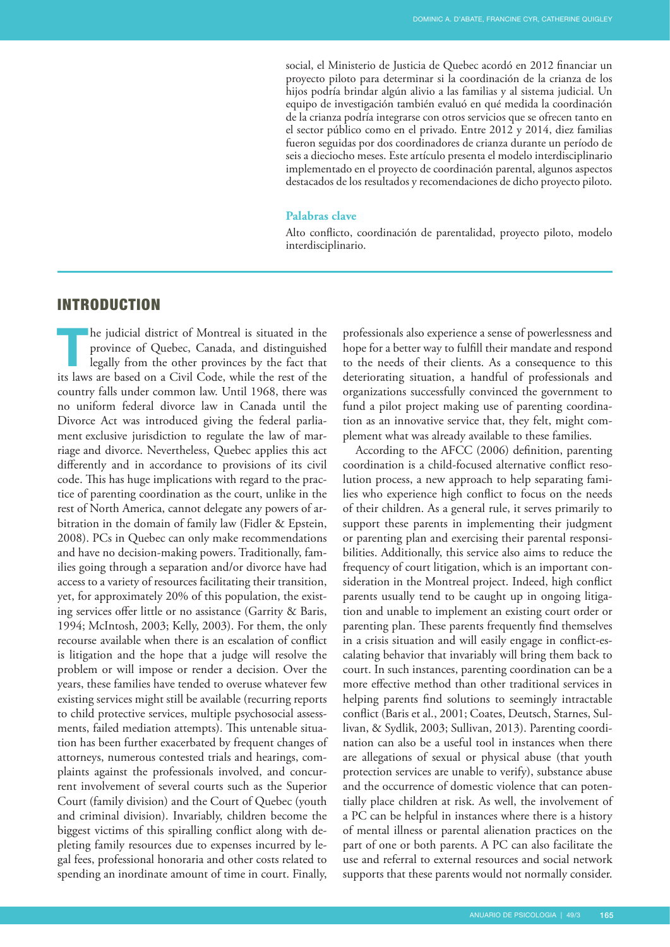social, el Ministerio de Justicia de Quebec acordó en 2012 financiar un proyecto piloto para determinar si la coordinación de la crianza de los hijos podría brindar algún alivio a las familias y al sistema judicial. Un equipo de investigación también evaluó en qué medida la coordinación de la crianza podría integrarse con otros servicios que se ofrecen tanto en el sector público como en el privado. Entre 2012 y 2014, diez familias fueron seguidas por dos coordinadores de crianza durante un período de seis a dieciocho meses. Este artículo presenta el modelo interdisciplinario implementado en el proyecto de coordinación parental, algunos aspectos destacados de los resultados y recomendaciones de dicho proyecto piloto.

#### **Palabras clave**

Alto conflicto, coordinación de parentalidad, proyecto piloto, modelo interdisciplinario.

# INTRODUCTION

**The judicial district of Montreal is situated in the province of Quebec, Canada, and distinguished legally from the other provinces by the fact that its laws are based on a Civil Code, while the rest of the** province of Quebec, Canada, and distinguished legally from the other provinces by the fact that country falls under common law. Until 1968, there was no uniform federal divorce law in Canada until the Divorce Act was introduced giving the federal parliament exclusive jurisdiction to regulate the law of [mar](https://en.wikipedia.org/wiki/Marriage)[riage](https://en.wikipedia.org/wiki/Marriage) and divorce. Nevertheless, Quebec applies this act differently and in accordance to provisions of its civil code. This has huge implications with regard to the practice of parenting coordination as the court, unlike in the rest of North America, cannot delegate any powers of arbitration in the domain of family law (Fidler & Epstein, 2008). PCs in Quebec can only make recommendations and have no decision-making powers. Traditionally, families going through a separation and/or divorce have had access to a variety of resources facilitating their transition, yet, for approximately 20% of this population, the existing services offer little or no assistance (Garrity & Baris, 1994; McIntosh, 2003; Kelly, 2003). For them, the only recourse available when there is an escalation of conflict is litigation and the hope that a judge will resolve the problem or will impose or render a decision. Over the years, these families have tended to overuse whatever few existing services might still be available (recurring reports to child protective services, multiple psychosocial assessments, failed mediation attempts). This untenable situation has been further exacerbated by frequent changes of attorneys, numerous contested trials and hearings, complaints against the professionals involved, and concurrent involvement of several courts such as the Superior Court (family division) and the Court of Quebec (youth and criminal division). Invariably, children become the biggest victims of this spiralling conflict along with depleting family resources due to expenses incurred by legal fees, professional honoraria and other costs related to spending an inordinate amount of time in court. Finally,

professionals also experience a sense of powerlessness and hope for a better way to fulfill their mandate and respond to the needs of their clients. As a consequence to this deteriorating situation, a handful of professionals and organizations successfully convinced the government to fund a pilot project making use of parenting coordination as an innovative service that, they felt, might complement what was already available to these families.

According to the AFCC (2006) definition, parenting coordination is a child-focused alternative conflict resolution process, a new approach to help separating families who experience high conflict to focus on the needs of their children. As a general rule, it serves primarily to support these parents in implementing their judgment or parenting plan and exercising their parental responsibilities. Additionally, this service also aims to reduce the frequency of court litigation, which is an important consideration in the Montreal project. Indeed, high conflict parents usually tend to be caught up in ongoing litigation and unable to implement an existing court order or parenting plan. These parents frequently find themselves in a crisis situation and will easily engage in conflict-escalating behavior that invariably will bring them back to court. In such instances, parenting coordination can be a more effective method than other traditional services in helping parents find solutions to seemingly intractable conflict (Baris et al., 2001; Coates, Deutsch, Starnes, Sullivan, & Sydlik, 2003; Sullivan, 2013). Parenting coordination can also be a useful tool in instances when there are allegations of sexual or physical abuse (that youth protection services are unable to verify), substance abuse and the occurrence of domestic violence that can potentially place children at risk. As well, the involvement of a PC can be helpful in instances where there is a history of mental illness or parental alienation practices on the part of one or both parents. A PC can also facilitate the use and referral to external resources and social network supports that these parents would not normally consider.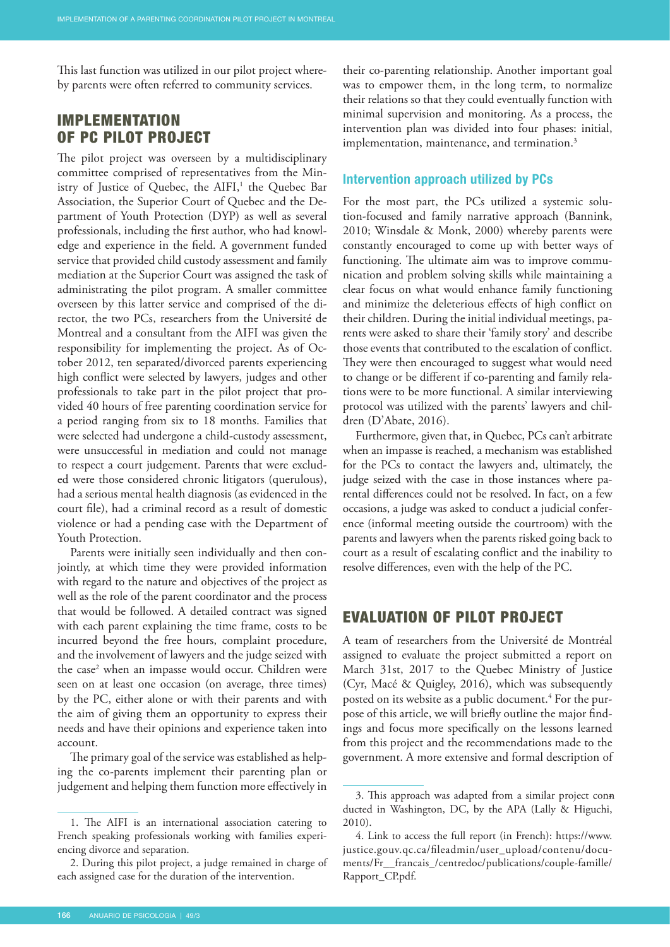This last function was utilized in our pilot project whereby parents were often referred to community services.

# IMPLEMENTATION OF PC PILOT PROJECT

The pilot project was overseen by a multidisciplinary committee comprised of representatives from the Ministry of Justice of Quebec, the AIFI,<sup>1</sup> the Quebec Bar Association, the Superior Court of Quebec and the Department of Youth Protection (DYP) as well as several professionals, including the first author, who had knowledge and experience in the field. A government funded service that provided child custody assessment and family mediation at the Superior Court was assigned the task of administrating the pilot program. A smaller committee overseen by this latter service and comprised of the director, the two PCs, researchers from the Université de Montreal and a consultant from the AIFI was given the responsibility for implementing the project. As of October 2012, ten separated/divorced parents experiencing high conflict were selected by lawyers, judges and other professionals to take part in the pilot project that provided 40 hours of free parenting coordination service for a period ranging from six to 18 months. Families that were selected had undergone a child-custody assessment, were unsuccessful in mediation and could not manage to respect a court judgement. Parents that were excluded were those considered chronic litigators (querulous), had a serious mental health diagnosis (as evidenced in the court file), had a criminal record as a result of domestic violence or had a pending case with the Department of Youth Protection.

Parents were initially seen individually and then conjointly, at which time they were provided information with regard to the nature and objectives of the project as well as the role of the parent coordinator and the process that would be followed. A detailed contract was signed with each parent explaining the time frame, costs to be incurred beyond the free hours, complaint procedure, and the involvement of lawyers and the judge seized with the case<sup>2</sup> when an impasse would occur. Children were seen on at least one occasion (on average, three times) by the PC, either alone or with their parents and with the aim of giving them an opportunity to express their needs and have their opinions and experience taken into account.

The primary goal of the service was established as helping the co-parents implement their parenting plan or judgement and helping them function more effectively in

their co-parenting relationship. Another important goal was to empower them, in the long term, to normalize their relations so that they could eventually function with minimal supervision and monitoring. As a process, the intervention plan was divided into four phases: initial, implementation, maintenance, and termination.<sup>3</sup>

#### **Intervention approach utilized by PCs**

For the most part, the PCs utilized a systemic solution-focused and family narrative approach (Bannink, 2010; Winsdale & Monk, 2000) whereby parents were constantly encouraged to come up with better ways of functioning. The ultimate aim was to improve communication and problem solving skills while maintaining a clear focus on what would enhance family functioning and minimize the deleterious effects of high conflict on their children. During the initial individual meetings, parents were asked to share their 'family story' and describe those events that contributed to the escalation of conflict. They were then encouraged to suggest what would need to change or be different if co-parenting and family relations were to be more functional. A similar interviewing protocol was utilized with the parents' lawyers and children (D'Abate, 2016).

Furthermore, given that, in Quebec, PCs can't arbitrate when an impasse is reached, a mechanism was established for the PCs to contact the lawyers and, ultimately, the judge seized with the case in those instances where parental differences could not be resolved. In fact, on a few occasions, a judge was asked to conduct a judicial conference (informal meeting outside the courtroom) with the parents and lawyers when the parents risked going back to court as a result of escalating conflict and the inability to resolve differences, even with the help of the PC.

# EVALUATION OF PILOT PROJECT

A team of researchers from the Université de Montréal assigned to evaluate the project submitted a report on March 31st, 2017 to the Quebec Ministry of Justice (Cyr, Macé & Quigley, 2016), which was subsequently posted on its website as a public document.<sup>4</sup> For the purpose of this article, we will briefly outline the major findings and focus more specifically on the lessons learned from this project and the recommendations made to the government. A more extensive and formal description of

<sup>1.</sup> The AIFI is an international association catering to French speaking professionals working with families experiencing divorce and separation.

<sup>2.</sup> During this pilot project, a judge remained in charge of each assigned case for the duration of the intervention.

<sup>3.</sup> This approach was adapted from a similar project conn ducted in Washington, DC, by the APA (Lally & Higuchi, 2010).

<sup>4.</sup> Link to access the full report (in French): https://www. justice.gouv.qc.ca/fileadmin/user\_upload/contenu/documents/Fr\_\_francais\_/centredoc/publications/couple-famille/ Rapport\_CP.pdf.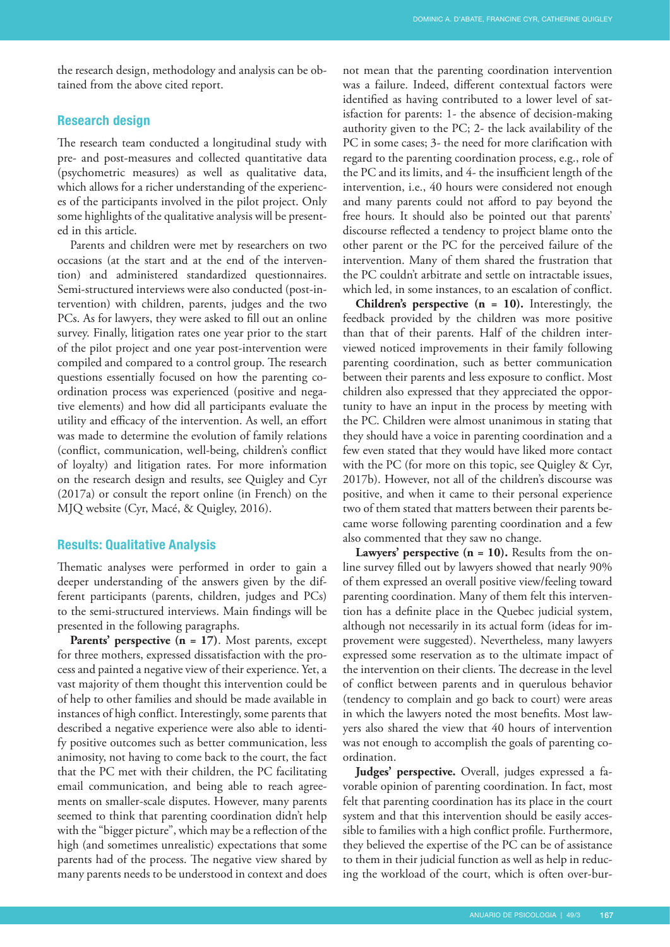the research design, methodology and analysis can be obtained from the above cited report.

# **Research design**

The research team conducted a longitudinal study with pre- and post-measures and collected quantitative data (psychometric measures) as well as qualitative data, which allows for a richer understanding of the experiences of the participants involved in the pilot project. Only some highlights of the qualitative analysis will be presented in this article.

Parents and children were met by researchers on two occasions (at the start and at the end of the intervention) and administered standardized questionnaires. Semi-structured interviews were also conducted (post-intervention) with children, parents, judges and the two PCs. As for lawyers, they were asked to fill out an online survey. Finally, litigation rates one year prior to the start of the pilot project and one year post-intervention were compiled and compared to a control group. The research questions essentially focused on how the parenting coordination process was experienced (positive and negative elements) and how did all participants evaluate the utility and efficacy of the intervention. As well, an effort was made to determine the evolution of family relations (conflict, communication, well-being, children's conflict of loyalty) and litigation rates. For more information on the research design and results, see Quigley and Cyr (2017a) or consult the report online (in French) on the MJQ website (Cyr, Macé, & Quigley, 2016).

# **Results: Qualitative Analysis**

Thematic analyses were performed in order to gain a deeper understanding of the answers given by the different participants (parents, children, judges and PCs) to the semi-structured interviews. Main findings will be presented in the following paragraphs.

Parents' perspective (n = 17). Most parents, except for three mothers, expressed dissatisfaction with the process and painted a negative view of their experience. Yet, a vast majority of them thought this intervention could be of help to other families and should be made available in instances of high conflict. Interestingly, some parents that described a negative experience were also able to identify positive outcomes such as better communication, less animosity, not having to come back to the court, the fact that the PC met with their children, the PC facilitating email communication, and being able to reach agreements on smaller-scale disputes. However, many parents seemed to think that parenting coordination didn't help with the "bigger picture", which may be a reflection of the high (and sometimes unrealistic) expectations that some parents had of the process. The negative view shared by many parents needs to be understood in context and does

not mean that the parenting coordination intervention was a failure. Indeed, different contextual factors were identified as having contributed to a lower level of satisfaction for parents: 1- the absence of decision-making authority given to the PC; 2- the lack availability of the PC in some cases; 3- the need for more clarification with regard to the parenting coordination process, e.g., role of the PC and its limits, and 4- the insufficient length of the intervention, i.e., 40 hours were considered not enough and many parents could not afford to pay beyond the free hours. It should also be pointed out that parents' discourse reflected a tendency to project blame onto the other parent or the PC for the perceived failure of the intervention. Many of them shared the frustration that the PC couldn't arbitrate and settle on intractable issues, which led, in some instances, to an escalation of conflict.

**Children's perspective (n = 10).** Interestingly, the feedback provided by the children was more positive than that of their parents. Half of the children interviewed noticed improvements in their family following parenting coordination, such as better communication between their parents and less exposure to conflict. Most children also expressed that they appreciated the opportunity to have an input in the process by meeting with the PC. Children were almost unanimous in stating that they should have a voice in parenting coordination and a few even stated that they would have liked more contact with the PC (for more on this topic, see Quigley & Cyr, 2017b). However, not all of the children's discourse was positive, and when it came to their personal experience two of them stated that matters between their parents became worse following parenting coordination and a few also commented that they saw no change.

Lawyers' perspective (n = 10). Results from the online survey filled out by lawyers showed that nearly 90% of them expressed an overall positive view/feeling toward parenting coordination. Many of them felt this intervention has a definite place in the Quebec judicial system, although not necessarily in its actual form (ideas for improvement were suggested). Nevertheless, many lawyers expressed some reservation as to the ultimate impact of the intervention on their clients. The decrease in the level of conflict between parents and in querulous behavior (tendency to complain and go back to court) were areas in which the lawyers noted the most benefits. Most lawyers also shared the view that 40 hours of intervention was not enough to accomplish the goals of parenting coordination.

**Judges' perspective.** Overall, judges expressed a favorable opinion of parenting coordination. In fact, most felt that parenting coordination has its place in the court system and that this intervention should be easily accessible to families with a high conflict profile. Furthermore, they believed the expertise of the PC can be of assistance to them in their judicial function as well as help in reducing the workload of the court, which is often over-bur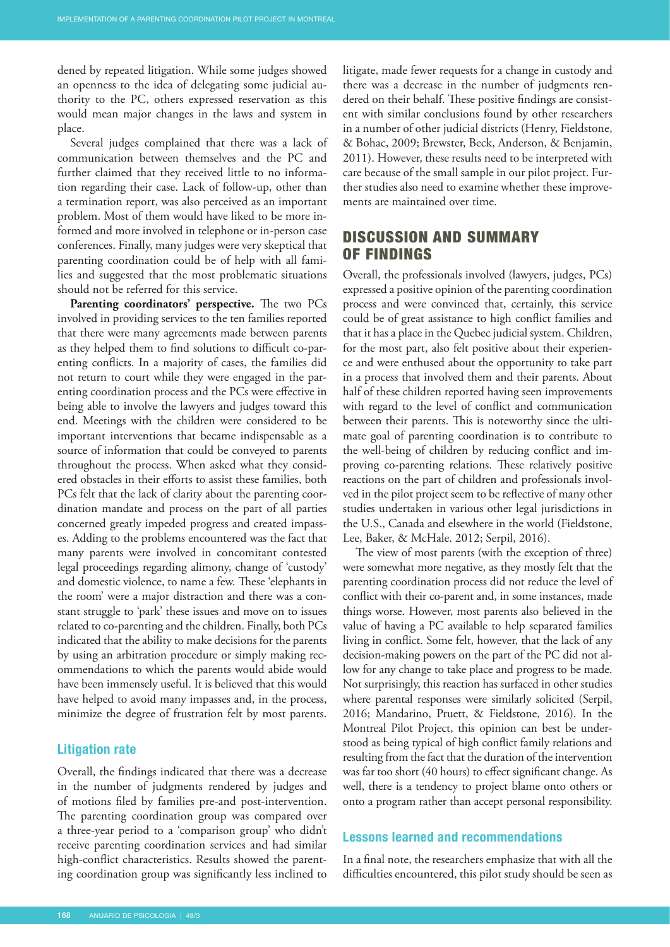dened by repeated litigation. While some judges showed an openness to the idea of delegating some judicial authority to the PC, others expressed reservation as this would mean major changes in the laws and system in place.

Several judges complained that there was a lack of communication between themselves and the PC and further claimed that they received little to no information regarding their case. Lack of follow-up, other than a termination report, was also perceived as an important problem. Most of them would have liked to be more informed and more involved in telephone or in-person case conferences. Finally, many judges were very skeptical that parenting coordination could be of help with all families and suggested that the most problematic situations should not be referred for this service.

**Parenting coordinators' perspective.** The two PCs involved in providing services to the ten families reported that there were many agreements made between parents as they helped them to find solutions to difficult co-parenting conflicts. In a majority of cases, the families did not return to court while they were engaged in the parenting coordination process and the PCs were effective in being able to involve the lawyers and judges toward this end. Meetings with the children were considered to be important interventions that became indispensable as a source of information that could be conveyed to parents throughout the process. When asked what they considered obstacles in their efforts to assist these families, both PCs felt that the lack of clarity about the parenting coordination mandate and process on the part of all parties concerned greatly impeded progress and created impasses. Adding to the problems encountered was the fact that many parents were involved in concomitant contested legal proceedings regarding alimony, change of 'custody' and domestic violence, to name a few. These 'elephants in the room' were a major distraction and there was a constant struggle to 'park' these issues and move on to issues related to co-parenting and the children. Finally, both PCs indicated that the ability to make decisions for the parents by using an arbitration procedure or simply making recommendations to which the parents would abide would have been immensely useful. It is believed that this would have helped to avoid many impasses and, in the process, minimize the degree of frustration felt by most parents.

#### **Litigation rate**

Overall, the findings indicated that there was a decrease in the number of judgments rendered by judges and of motions filed by families pre-and post-intervention. The parenting coordination group was compared over a three-year period to a 'comparison group' who didn't receive parenting coordination services and had similar high-conflict characteristics. Results showed the parenting coordination group was significantly less inclined to litigate, made fewer requests for a change in custody and there was a decrease in the number of judgments rendered on their behalf. These positive findings are consistent with similar conclusions found by other researchers in a number of other judicial districts (Henry, Fieldstone, & Bohac, 2009; Brewster, Beck, Anderson, & Benjamin, 2011). However, these results need to be interpreted with care because of the small sample in our pilot project. Further studies also need to examine whether these improvements are maintained over time.

# DISCUSSION AND SUMMARY OF FINDINGS

Overall, the professionals involved (lawyers, judges, PCs) expressed a positive opinion of the parenting coordination process and were convinced that, certainly, this service could be of great assistance to high conflict families and that it has a place in the Quebec judicial system. Children, for the most part, also felt positive about their experience and were enthused about the opportunity to take part in a process that involved them and their parents. About half of these children reported having seen improvements with regard to the level of conflict and communication between their parents. This is noteworthy since the ultimate goal of parenting coordination is to contribute to the well-being of children by reducing conflict and improving co-parenting relations. These relatively positive reactions on the part of children and professionals involved in the pilot project seem to be reflective of many other studies undertaken in various other legal jurisdictions in the U.S., Canada and elsewhere in the world (Fieldstone, Lee, Baker, & McHale. 2012; Serpil, 2016).

The view of most parents (with the exception of three) were somewhat more negative, as they mostly felt that the parenting coordination process did not reduce the level of conflict with their co-parent and, in some instances, made things worse. However, most parents also believed in the value of having a PC available to help separated families living in conflict. Some felt, however, that the lack of any decision-making powers on the part of the PC did not allow for any change to take place and progress to be made. Not surprisingly, this reaction has surfaced in other studies where parental responses were similarly solicited (Serpil, 2016; Mandarino, Pruett, & Fieldstone, 2016). In the Montreal Pilot Project, this opinion can best be understood as being typical of high conflict family relations and resulting from the fact that the duration of the intervention was far too short (40 hours) to effect significant change. As well, there is a tendency to project blame onto others or onto a program rather than accept personal responsibility.

#### **Lessons learned and recommendations**

In a final note, the researchers emphasize that with all the difficulties encountered, this pilot study should be seen as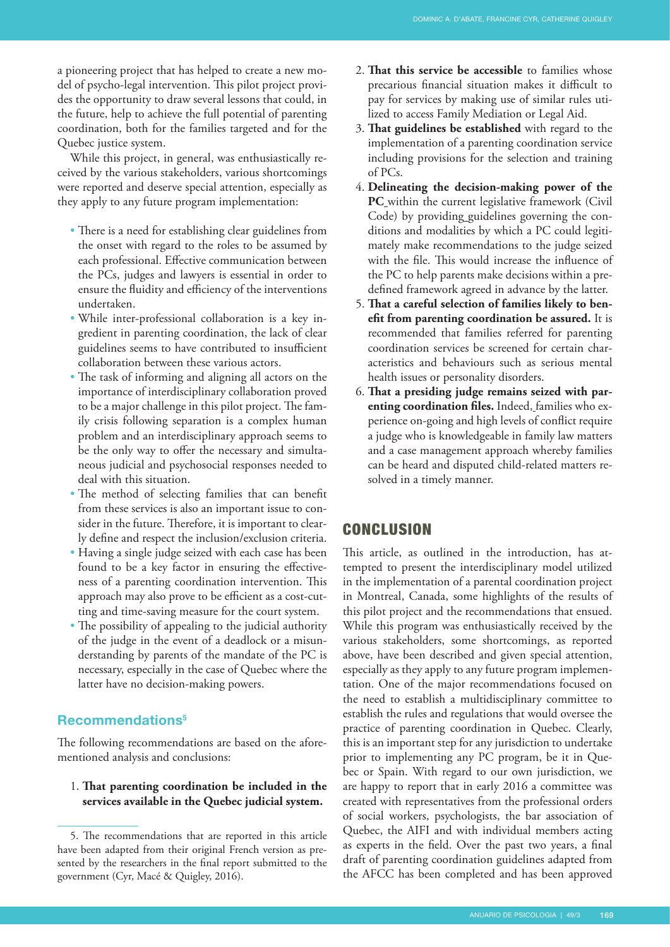a pioneering project that has helped to create a new model of psycho-legal intervention. This pilot project provides the opportunity to draw several lessons that could, in the future, help to achieve the full potential of parenting coordination, both for the families targeted and for the Quebec justice system.

While this project, in general, was enthusiastically received by the various stakeholders, various shortcomings were reported and deserve special attention, especially as they apply to any future program implementation:

- There is a need for establishing clear guidelines from the onset with regard to the roles to be assumed by each professional. Effective communication between the PCs, judges and lawyers is essential in order to ensure the fluidity and efficiency of the interventions undertaken.
- While inter-professional collaboration is a key ingredient in parenting coordination, the lack of clear guidelines seems to have contributed to insufficient collaboration between these various actors.
- The task of informing and aligning all actors on the importance of interdisciplinary collaboration proved to be a major challenge in this pilot project. The family crisis following separation is a complex human problem and an interdisciplinary approach seems to be the only way to offer the necessary and simultaneous judicial and psychosocial responses needed to deal with this situation.
- The method of selecting families that can benefit from these services is also an important issue to consider in the future. Therefore, it is important to clearly define and respect the inclusion/exclusion criteria.
- Having a single judge seized with each case has been found to be a key factor in ensuring the effectiveness of a parenting coordination intervention. This approach may also prove to be efficient as a cost-cutting and time-saving measure for the court system.
- The possibility of appealing to the judicial authority of the judge in the event of a deadlock or a misunderstanding by parents of the mandate of the PC is necessary, especially in the case of Quebec where the latter have no decision-making powers.

# **Recommendations<sup>5</sup>**

The following recommendations are based on the aforementioned analysis and conclusions:

1. **That parenting coordination be included in the services available in the Quebec judicial system.**

- 2. **That this service be accessible** to families whose precarious financial situation makes it difficult to pay for services by making use of similar rules utilized to access Family Mediation or Legal Aid.
- 3. **That guidelines be established** with regard to the implementation of a parenting coordination service including provisions for the selection and training of PCs.
- 4. **Delineating the decision-making power of the PC** within the current legislative framework (Civil Code) by providing guidelines governing the conditions and modalities by which a PC could legitimately make recommendations to the judge seized with the file. This would increase the influence of the PC to help parents make decisions within a predefined framework agreed in advance by the latter.
- 5. **That a careful selection of families likely to benefit from parenting coordination be assured.** It is recommended that families referred for parenting coordination services be screened for certain characteristics and behaviours such as serious mental health issues or personality disorders.
- 6. **That a presiding judge remains seized with parenting coordination files.** Indeed, families who experience on-going and high levels of conflict require a judge who is knowledgeable in family law matters and a case management approach whereby families can be heard and disputed child-related matters resolved in a timely manner.

# CONCLUSION

This article, as outlined in the introduction, has attempted to present the interdisciplinary model utilized in the implementation of a parental coordination project in Montreal, Canada, some highlights of the results of this pilot project and the recommendations that ensued. While this program was enthusiastically received by the various stakeholders, some shortcomings, as reported above, have been described and given special attention, especially as they apply to any future program implementation. One of the major recommendations focused on the need to establish a multidisciplinary committee to establish the rules and regulations that would oversee the practice of parenting coordination in Quebec. Clearly, this is an important step for any jurisdiction to undertake prior to implementing any PC program, be it in Quebec or Spain. With regard to our own jurisdiction, we are happy to report that in early 2016 a committee was created with representatives from the professional orders of social workers, psychologists, the bar association of Quebec, the AIFI and with individual members acting as experts in the field. Over the past two years, a final draft of parenting coordination guidelines adapted from the AFCC has been completed and has been approved

<sup>5.</sup> The recommendations that are reported in this article have been adapted from their original French version as presented by the researchers in the final report submitted to the government (Cyr, Macé & Quigley, 2016).